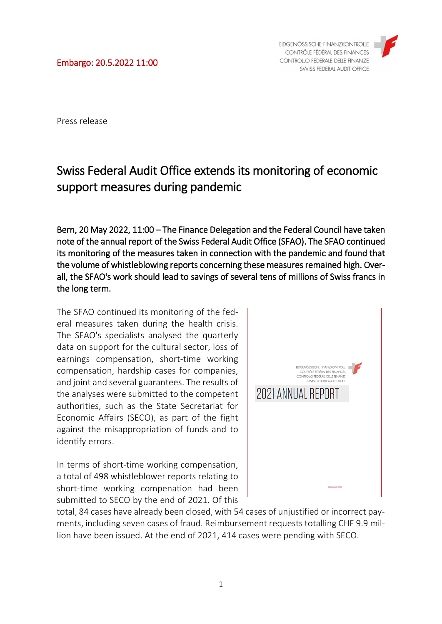Press release

## Swiss Federal Audit Office extends its monitoring of economic support measures during pandemic

Bern, 20 May 2022, 11:00 – The Finance Delegation and the Federal Council have taken note of the annual report of the Swiss Federal Audit Office (SFAO). The SFAO continued its monitoring of the measures taken in connection with the pandemic and found that the volume of whistleblowing reports concerning these measures remained high. Overall, the SFAO's work should lead to savings of several tens of millions of Swiss francs in the long term.

The SFAO continued its monitoring of the federal measures taken during the health crisis. The SFAO's specialists analysed the quarterly data on support for the cultural sector, loss of earnings compensation, short-time working compensation, hardship cases for companies, and joint and several guarantees. The results of the analyses were submitted to the competent authorities, such as the State Secretariat for Economic Affairs (SECO), as part of the fight against the misappropriation of funds and to identify errors.

In terms of short-time working compensation, a total of 498 whistleblower reports relating to short-time working compenation had been submitted to SECO by the end of 2021. Of this



total, 84 cases have already been closed, with 54 cases of unjustified or incorrect payments, including seven cases of fraud. Reimbursement requests totalling CHF 9.9 million have been issued. At the end of 2021, 414 cases were pending with SECO.